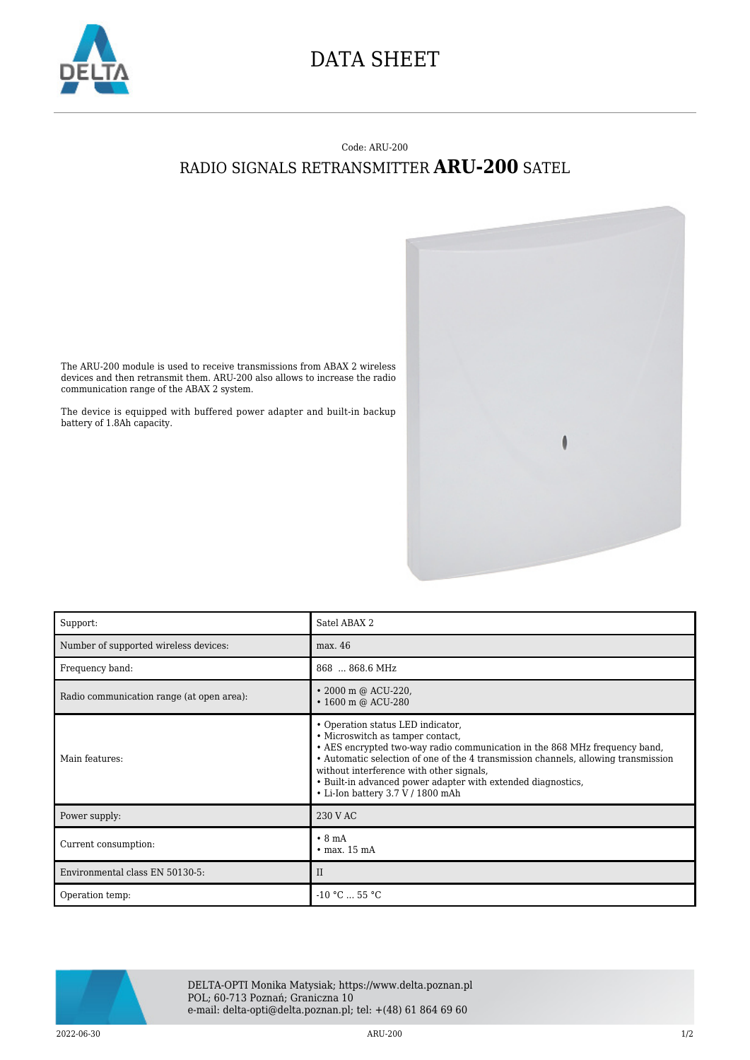

## DATA SHEET

## Code: ARU-200 RADIO SIGNALS RETRANSMITTER **ARU-200** SATEL



The ARU-200 module is used to receive transmissions from ABAX 2 wireless devices and then retransmit them. ARU-200 also allows to increase the radio communication range of the ABAX 2 system.

The device is equipped with buffered power adapter and built-in backup battery of 1.8Ah capacity.

| Support:                                  | Satel ABAX 2                                                                                                                                                                                                                                                                                                                                                                               |
|-------------------------------------------|--------------------------------------------------------------------------------------------------------------------------------------------------------------------------------------------------------------------------------------------------------------------------------------------------------------------------------------------------------------------------------------------|
| Number of supported wireless devices:     | max. 46                                                                                                                                                                                                                                                                                                                                                                                    |
| Frequency band:                           | 868  868.6 MHz                                                                                                                                                                                                                                                                                                                                                                             |
| Radio communication range (at open area): | • 2000 m @ ACU-220,<br>$\cdot$ 1600 m @ ACU-280                                                                                                                                                                                                                                                                                                                                            |
| Main features:                            | • Operation status LED indicator,<br>• Microswitch as tamper contact,<br>• AES encrypted two-way radio communication in the 868 MHz frequency band,<br>• Automatic selection of one of the 4 transmission channels, allowing transmission<br>without interference with other signals,<br>• Built-in advanced power adapter with extended diagnostics,<br>• Li-Ion battery 3.7 V / 1800 mAh |
| Power supply:                             | 230 V AC                                                                                                                                                                                                                                                                                                                                                                                   |
| Current consumption:                      | $\cdot$ 8 mA<br>$\cdot$ max. 15 mA                                                                                                                                                                                                                                                                                                                                                         |
| Environmental class EN 50130-5:           | $\rm II$                                                                                                                                                                                                                                                                                                                                                                                   |
| Operation temp:                           | $-10$ °C $\dots$ 55 °C                                                                                                                                                                                                                                                                                                                                                                     |



DELTA-OPTI Monika Matysiak; https://www.delta.poznan.pl POL; 60-713 Poznań; Graniczna 10 e-mail: delta-opti@delta.poznan.pl; tel: +(48) 61 864 69 60